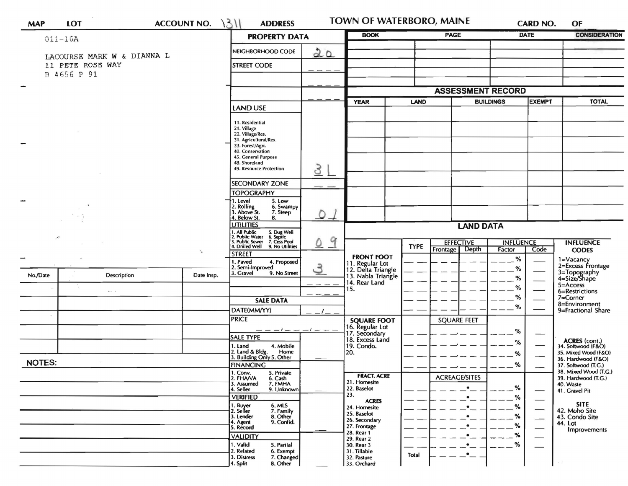| <b>MAP</b>    | <b>LOT</b>                                     | <b>ACCOUNT NO.</b>                                                                                 | 1311<br><b>ADDRESS</b>                                                       |                  | TOWN OF WATERBORO, MAINE                                   |             |                                    |                                   | CARD NO.                 | OF                                                          |
|---------------|------------------------------------------------|----------------------------------------------------------------------------------------------------|------------------------------------------------------------------------------|------------------|------------------------------------------------------------|-------------|------------------------------------|-----------------------------------|--------------------------|-------------------------------------------------------------|
| $011 - 16A$   |                                                |                                                                                                    | <b>PROPERTY DATA</b>                                                         |                  | <b>BOOK</b>                                                |             | <b>PAGE</b>                        |                                   | <b>DATE</b>              | <b>CONSIDERATION</b>                                        |
|               | LACOURSE MARK W & DIANNA L<br>11 PETE ROSE WAY |                                                                                                    | NEIGHBORHOOD CODE<br><b>STREET CODE</b>                                      | 20               |                                                            |             |                                    |                                   |                          |                                                             |
|               | B 4656 P 91                                    |                                                                                                    |                                                                              |                  |                                                            |             |                                    |                                   |                          |                                                             |
|               |                                                |                                                                                                    |                                                                              |                  |                                                            |             | <b>ASSESSMENT RECORD</b>           |                                   |                          |                                                             |
|               |                                                |                                                                                                    | <b>LAND USE</b>                                                              |                  | <b>LAND</b><br><b>YEAR</b>                                 |             |                                    | <b>EXEMPT</b><br><b>BUILDINGS</b> |                          | <b>TOTAL</b>                                                |
|               |                                                |                                                                                                    | 11. Residential                                                              |                  |                                                            |             |                                    |                                   |                          |                                                             |
|               |                                                |                                                                                                    | 21. Village<br>22. Village/Res.<br>31. Agricultural/Res.                     |                  |                                                            |             |                                    |                                   |                          |                                                             |
|               |                                                |                                                                                                    | 33. Forest/Agri.<br>40. Conservation<br>45. General Purpose                  |                  |                                                            |             |                                    |                                   |                          |                                                             |
|               |                                                |                                                                                                    | 48. Shoreland<br>49. Resource Protection                                     | 3                |                                                            |             |                                    |                                   |                          |                                                             |
|               |                                                |                                                                                                    | <b>SECONDARY ZONE</b>                                                        |                  |                                                            |             |                                    |                                   |                          |                                                             |
|               |                                                |                                                                                                    | <b>TOPOGRAPHY</b><br>1. Level<br>5. Low<br>6. Swampy                         |                  |                                                            |             |                                    |                                   |                          |                                                             |
|               |                                                |                                                                                                    | 2. Rolling<br>3. Above St.<br>7. Steep<br>4. Below St.<br>В.                 | $O_1$            |                                                            |             |                                    |                                   |                          |                                                             |
|               | $\mathcal{A}^*$                                | <b>UTILITIES</b><br>All Public 5. Dug Well<br>Public Water 6. Septic<br>Public Sewer 7. Cess Pool. |                                                                              | <b>LAND DATA</b> |                                                            |             |                                    |                                   |                          |                                                             |
|               |                                                | $\mathbb{R}_2$                                                                                     | Drilled Well 9. No Utilities<br><b>STREET</b>                                | 9                |                                                            | <b>TYPE</b> | <b>EFFECTIVE</b><br>Frontage Depth | <b>INFLUENCE</b><br>Factor        | Code                     | <b>INFLUENCE</b><br><b>CODES</b>                            |
|               |                                                |                                                                                                    | 1. Paved<br>4. Proposed<br>2. Semi-Improved                                  |                  | <b>FRONT FOOT</b><br>11. Regular Lot<br>12. Delta Triangle |             |                                    | $\%$                              |                          | 1=Vacancy<br>2=Excess Frontage                              |
| No./Date      | <b>Description</b>                             | Date Insp.                                                                                         | 3. Gravel<br>9. No Street                                                    | ತೆ               | 13. Nabla Triangle<br>14. Rear Land                        |             |                                    | %<br>%                            |                          | 3=Topography<br>4=Size/Shape                                |
|               | $\mathcal{M}_\mathrm{c} = 1$                   |                                                                                                    |                                                                              |                  | 15.                                                        |             |                                    | %<br>%                            |                          | 5=Access<br>6=Restrictions<br>7=Corner                      |
|               |                                                |                                                                                                    | <b>SALE DATA</b><br>DATE(MM/YY)                                              |                  |                                                            |             |                                    | %                                 |                          | 8=Environment<br>9=Fractional Share                         |
|               |                                                |                                                                                                    | <b>PRICE</b>                                                                 |                  | <b>SQUARE FOOT</b><br>16. Regular Lot                      |             | <b>SQUARE FEET</b>                 |                                   |                          |                                                             |
|               |                                                |                                                                                                    | — — — ! — — — ! — —<br>SALE TYPE                                             |                  | 17. Secondary<br>18. Excess Land                           |             |                                    | %                                 |                          |                                                             |
|               |                                                |                                                                                                    | 1. Land<br>4. Mobile<br>2. Land & Bldg.<br>Home<br>3. Building Only 5. Other |                  | 19. Condo.<br>20.                                          |             |                                    | %<br>%                            |                          | ACRES (cont.)<br>34. Softwood (F&O)<br>35. Mixed Wood (F&O) |
| <b>NOTES:</b> |                                                |                                                                                                    | <b>FINANCING</b>                                                             |                  |                                                            |             |                                    | $\%$                              |                          | 36. Hardwood (F&O)<br>37. Softwood (T.G.)                   |
|               |                                                |                                                                                                    | 1. Conv.<br>5. Private<br>2. FHAVA<br>6. Cash<br>3. Assumed<br>7. FMHA       |                  | <b>FRACT. ACRE</b><br>21. Homesite                         |             | <b>ACREAGE/SITES</b>               |                                   |                          | 38. Mixed Wood (T.G.)<br>39. Hardwood (T.G.)<br>40. Waste   |
|               |                                                |                                                                                                    | 4. Seller<br>9. Unknown<br><b>VERIFIED</b>                                   |                  | 22. Baselot<br>23.<br><b>ACRES</b>                         |             | $\bullet$                          | %<br>%                            |                          | 41. Gravel Pit                                              |
|               |                                                |                                                                                                    | 1. Buyer<br>2. Seller<br>6. MLS<br>7. Family                                 |                  | 24. Homesite<br>25. Baselot                                |             | ٠                                  | %                                 |                          | <b>SITE</b><br>42. Moho Site                                |
|               |                                                |                                                                                                    | 8. Other<br>3. Lender<br>9. Confid.<br>4. Agent<br>5. Record                 |                  | 26. Secondary<br>27. Frontage                              |             |                                    | %<br>%                            | $\overline{\phantom{0}}$ | 43. Condo Site<br>44. Lot<br>Improvements                   |
|               |                                                |                                                                                                    | <b>VALIDITY</b><br>1. Valid<br>5. Partial                                    |                  | 28. Rear 1<br>29. Rear 2<br>30. Rear 3                     |             | $\bullet$<br>$\bullet$             | %<br>%                            |                          |                                                             |
|               |                                                |                                                                                                    | 2. Related<br>6. Exempt<br>3. Distress<br>7. Changed<br>4. Split<br>8. Other |                  | 31. Tillable<br>32. Pasture<br>33. Orchard                 | Total       | $\bullet$                          |                                   |                          |                                                             |